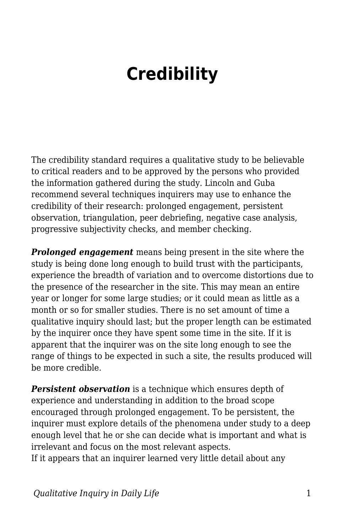## **Credibility**

The credibility standard requires a qualitative study to be believable to critical readers and to be approved by the persons who provided the information gathered during the study. Lincoln and Guba recommend several techniques inquirers may use to enhance the credibility of their research: prolonged engagement, persistent observation, triangulation, peer debriefing, negative case analysis, progressive subjectivity checks, and member checking.

*Prolonged engagement* means being present in the site where the study is being done long enough to build trust with the participants, experience the breadth of variation and to overcome distortions due to the presence of the researcher in the site. This may mean an entire year or longer for some large studies; or it could mean as little as a month or so for smaller studies. There is no set amount of time a qualitative inquiry should last; but the proper length can be estimated by the inquirer once they have spent some time in the site. If it is apparent that the inquirer was on the site long enough to see the range of things to be expected in such a site, the results produced will be more credible.

*Persistent observation* is a technique which ensures depth of experience and understanding in addition to the broad scope encouraged through prolonged engagement. To be persistent, the inquirer must explore details of the phenomena under study to a deep enough level that he or she can decide what is important and what is irrelevant and focus on the most relevant aspects.

If it appears that an inquirer learned very little detail about any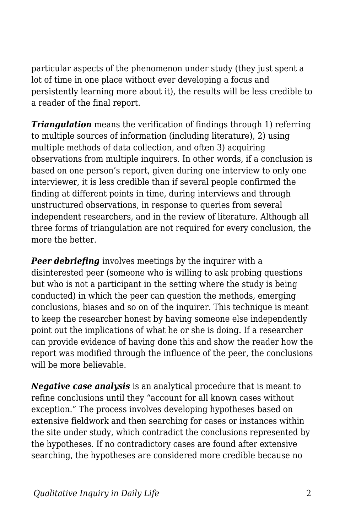particular aspects of the phenomenon under study (they just spent a lot of time in one place without ever developing a focus and persistently learning more about it), the results will be less credible to a reader of the final report.

*Triangulation* means the verification of findings through 1) referring to multiple sources of information (including literature), 2) using multiple methods of data collection, and often 3) acquiring observations from multiple inquirers. In other words, if a conclusion is based on one person's report, given during one interview to only one interviewer, it is less credible than if several people confirmed the finding at different points in time, during interviews and through unstructured observations, in response to queries from several independent researchers, and in the review of literature. Although all three forms of triangulation are not required for every conclusion, the more the better.

**Peer debriefing** involves meetings by the inquirer with a disinterested peer (someone who is willing to ask probing questions but who is not a participant in the setting where the study is being conducted) in which the peer can question the methods, emerging conclusions, biases and so on of the inquirer. This technique is meant to keep the researcher honest by having someone else independently point out the implications of what he or she is doing. If a researcher can provide evidence of having done this and show the reader how the report was modified through the influence of the peer, the conclusions will be more believable.

*Negative case analysis* is an analytical procedure that is meant to refine conclusions until they "account for all known cases without exception." The process involves developing hypotheses based on extensive fieldwork and then searching for cases or instances within the site under study, which contradict the conclusions represented by the hypotheses. If no contradictory cases are found after extensive searching, the hypotheses are considered more credible because no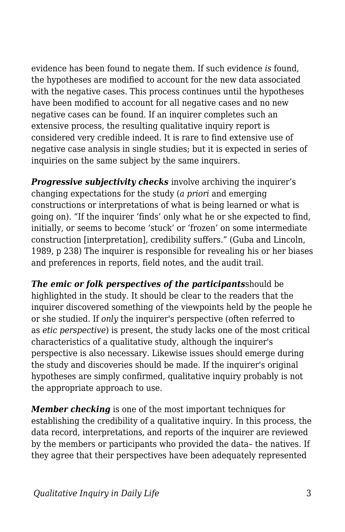evidence has been found to negate them. If such evidence *is* found, the hypotheses are modified to account for the new data associated with the negative cases. This process continues until the hypotheses have been modified to account for all negative cases and no new negative cases can be found. If an inquirer completes such an extensive process, the resulting qualitative inquiry report is considered very credible indeed. It is rare to find extensive use of negative case analysis in single studies; but it is expected in series of inquiries on the same subject by the same inquirers.

*Progressive subjectivity checks* involve archiving the inquirer's changing expectations for the study (*a priori* and emerging constructions or interpretations of what is being learned or what is going on). "If the inquirer 'finds' only what he or she expected to find, initially, or seems to become 'stuck' or 'frozen' on some intermediate construction [interpretation], credibility suffers." (Guba and Lincoln, 1989, p 238) The inquirer is responsible for revealing his or her biases and preferences in reports, field notes, and the audit trail.

*The emic or folk perspectives of the participants*should be highlighted in the study. It should be clear to the readers that the inquirer discovered something of the viewpoints held by the people he or she studied. If *only* the inquirer's perspective (often referred to as *etic perspective*) is present, the study lacks one of the most critical characteristics of a qualitative study, although the inquirer's perspective is also necessary. Likewise issues should emerge during the study and discoveries should be made. If the inquirer's original hypotheses are simply confirmed, qualitative inquiry probably is not the appropriate approach to use.

*Member checking* is one of the most important techniques for establishing the credibility of a qualitative inquiry. In this process, the data record, interpretations, and reports of the inquirer are reviewed by the members or participants who provided the data– the natives. If they agree that their perspectives have been adequately represented